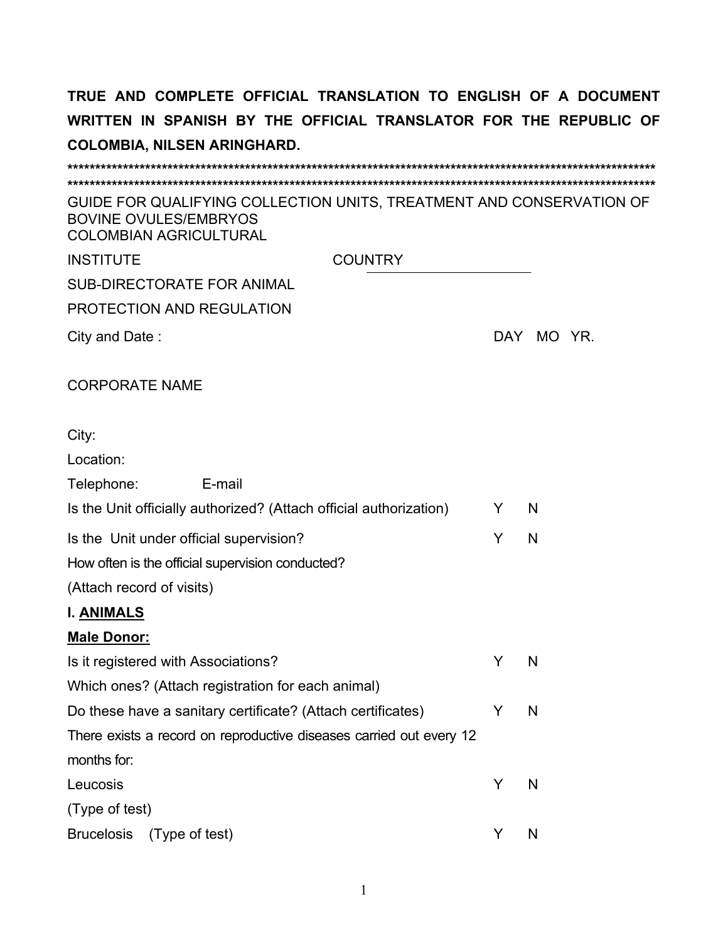| GUIDE FOR QUALIFYING COLLECTION UNITS, TREATMENT AND CONSERVATION OF<br><b>BOVINE OVULES/EMBRYOS</b><br><b>COLOMBIAN AGRICULTURAL</b> |   |            |
|---------------------------------------------------------------------------------------------------------------------------------------|---|------------|
| <b>INSTITUTE</b><br><b>COUNTRY</b>                                                                                                    |   |            |
| <b>SUB-DIRECTORATE FOR ANIMAL</b>                                                                                                     |   |            |
| PROTECTION AND REGULATION                                                                                                             |   |            |
| City and Date:                                                                                                                        |   | DAY MO YR. |
| <b>CORPORATE NAME</b>                                                                                                                 |   |            |
| City:                                                                                                                                 |   |            |
| Location:                                                                                                                             |   |            |
| Telephone:<br>E-mail                                                                                                                  |   |            |
| Is the Unit officially authorized? (Attach official authorization)                                                                    | Y | N          |
| Is the Unit under official supervision?                                                                                               | Y | N          |
| How often is the official supervision conducted?                                                                                      |   |            |
| (Attach record of visits)                                                                                                             |   |            |
| <b>I. ANIMALS</b>                                                                                                                     |   |            |
| <b>Male Donor:</b>                                                                                                                    |   |            |
| Is it registered with Associations?                                                                                                   | Y | N          |
| Which ones? (Attach registration for each animal)                                                                                     |   |            |
| Do these have a sanitary certificate? (Attach certificates)                                                                           | Y | N          |
| There exists a record on reproductive diseases carried out every 12                                                                   |   |            |
| months for:                                                                                                                           |   |            |
| Leucosis                                                                                                                              | Y | N          |
| (Type of test)                                                                                                                        |   |            |
| <b>Brucelosis</b><br>(Type of test)                                                                                                   | Y | N          |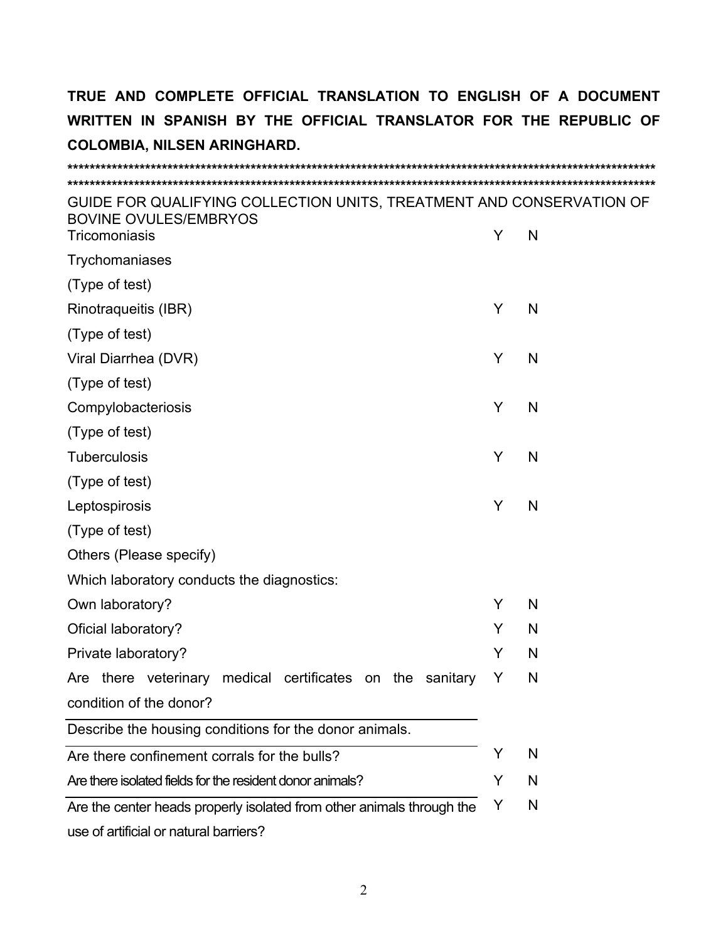| GUIDE FOR QUALIFYING COLLECTION UNITS, TREATMENT AND CONSERVATION OF<br><b>BOVINE OVULES/EMBRYOS</b><br>Tricomoniasis | Y | N |
|-----------------------------------------------------------------------------------------------------------------------|---|---|
| Trychomaniases                                                                                                        |   |   |
| (Type of test)                                                                                                        |   |   |
| Rinotraqueitis (IBR)                                                                                                  | Y | N |
| (Type of test)                                                                                                        |   |   |
| Viral Diarrhea (DVR)                                                                                                  | Y | N |
| (Type of test)                                                                                                        |   |   |
| Compylobacteriosis                                                                                                    | Y | N |
| (Type of test)                                                                                                        |   |   |
| <b>Tuberculosis</b>                                                                                                   | Y | N |
| (Type of test)                                                                                                        |   |   |
| Leptospirosis                                                                                                         | Y | N |
| (Type of test)                                                                                                        |   |   |
| Others (Please specify)                                                                                               |   |   |
| Which laboratory conducts the diagnostics:                                                                            |   |   |
| Own laboratory?                                                                                                       | Y | N |
| Oficial laboratory?                                                                                                   | Y | N |
| Private laboratory?                                                                                                   | Y | N |
| Are there veterinary medical certificates on<br>the<br>sanitary                                                       | Y | N |
| condition of the donor?                                                                                               |   |   |
| Describe the housing conditions for the donor animals.                                                                |   |   |
| Are there confinement corrals for the bulls?                                                                          | Y | N |
| Are there isolated fields for the resident donor animals?                                                             | Y | N |
| Are the center heads properly isolated from other animals through the                                                 | Y | N |
| Lieg of artificial or natural harriore?                                                                               |   |   |

use of artificial or natural barriers?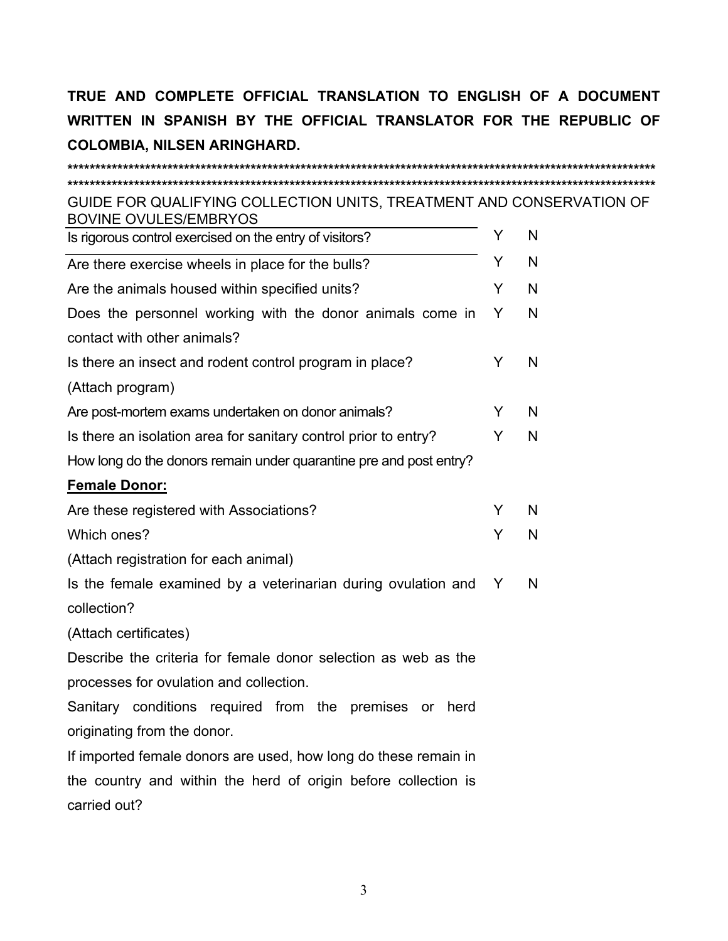GUIDE FOR QUALIFYING COLLECTION UNITS, TREATMENT AND CONSERVATION OF **BOVINE OVULES/EMBRYOS** 

| Is rigorous control exercised on the entry of visitors?            | Y |
|--------------------------------------------------------------------|---|
| Are there exercise wheels in place for the bulls?                  | Y |
| Are the animals housed within specified units?                     | Y |
| Does the personnel working with the donor animals come in          | Y |
| contact with other animals?                                        |   |
| Is there an insect and rodent control program in place?            | Y |
| (Attach program)                                                   |   |
| Are post-mortem exams undertaken on donor animals?                 | Y |
| Is there an isolation area for sanitary control prior to entry?    | Y |
| How long do the donors remain under quarantine pre and post entry? |   |
| <b>Female Donor:</b>                                               |   |
| Are these registered with Associations?                            | Y |
| Which ones?                                                        | Y |
| (Attach registration for each animal)                              |   |
| Is the female examined by a veterinarian during ovulation and      | Y |
| collection?                                                        |   |
| (Attach certificates)                                              |   |
| Describe the criteria for female donor selection as web as the     |   |
| processes for ovulation and collection.                            |   |
| Sanitary conditions required from the<br>premises or<br>herd       |   |
| originating from the donor.                                        |   |
| If imported female donors are used, how long do these remain in    |   |
| the country and within the herd of origin before collection is     |   |
| carried out?                                                       |   |
|                                                                    |   |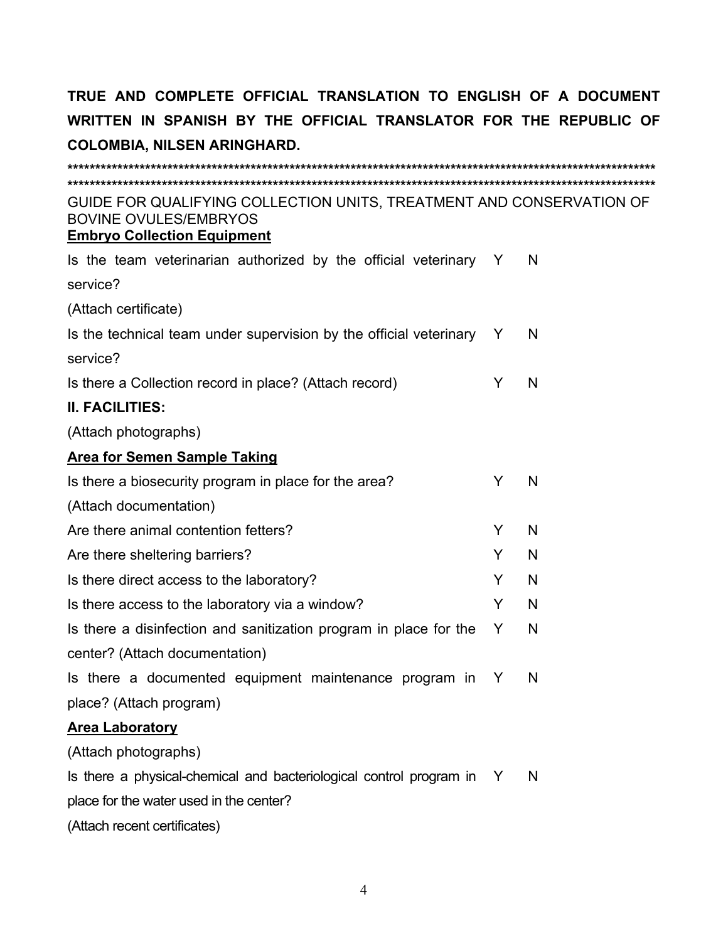| GUIDE FOR QUALIFYING COLLECTION UNITS, TREATMENT AND CONSERVATION OF<br><b>BOVINE OVULES/EMBRYOS</b><br><b>Embryo Collection Equipment</b> |   |   |
|--------------------------------------------------------------------------------------------------------------------------------------------|---|---|
| Is the team veterinarian authorized by the official veterinary Y                                                                           |   | N |
| service?                                                                                                                                   |   |   |
| (Attach certificate)                                                                                                                       |   |   |
| Is the technical team under supervision by the official veterinary                                                                         | Y | N |
| service?                                                                                                                                   |   |   |
| Is there a Collection record in place? (Attach record)                                                                                     | Y | N |
| <b>II. FACILITIES:</b>                                                                                                                     |   |   |
| (Attach photographs)                                                                                                                       |   |   |
| <b>Area for Semen Sample Taking</b>                                                                                                        |   |   |
| Is there a biosecurity program in place for the area?                                                                                      | Y | N |
| (Attach documentation)                                                                                                                     |   |   |
| Are there animal contention fetters?                                                                                                       | Y | N |
| Are there sheltering barriers?                                                                                                             | Y | N |
| Is there direct access to the laboratory?                                                                                                  | Y | N |
| Is there access to the laboratory via a window?                                                                                            | Y | N |
| Is there a disinfection and sanitization program in place for the                                                                          | Y | N |
| center? (Attach documentation)                                                                                                             |   |   |
| Is there a documented equipment maintenance program in                                                                                     | Y | N |
| place? (Attach program)                                                                                                                    |   |   |
| <b>Area Laboratory</b>                                                                                                                     |   |   |
| (Attach photographs)                                                                                                                       |   |   |
| Is there a physical-chemical and bacteriological control program in Y                                                                      |   | N |
| place for the water used in the center?                                                                                                    |   |   |
| (Attach recent certificates)                                                                                                               |   |   |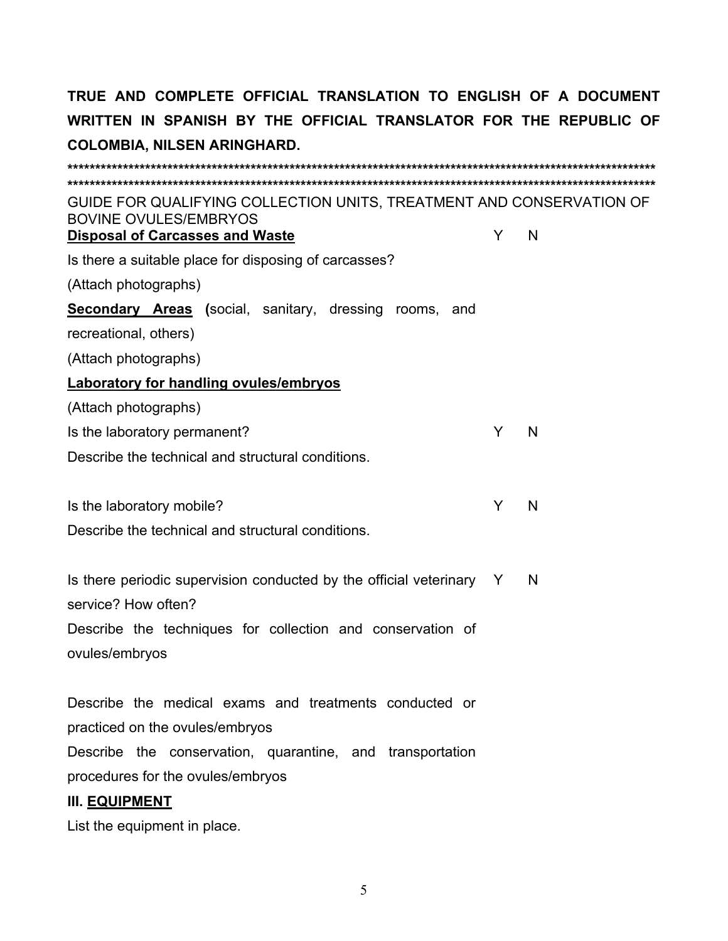| GUIDE FOR QUALIFYING COLLECTION UNITS, TREATMENT AND CONSERVATION OF<br><b>BOVINE OVULES/EMBRYOS</b> |   |   |
|------------------------------------------------------------------------------------------------------|---|---|
| <b>Disposal of Carcasses and Waste</b>                                                               | Y | N |
| Is there a suitable place for disposing of carcasses?                                                |   |   |
| (Attach photographs)                                                                                 |   |   |
| <b>Secondary Areas</b> (social, sanitary, dressing rooms, and                                        |   |   |
| recreational, others)                                                                                |   |   |
| (Attach photographs)                                                                                 |   |   |
| <b>Laboratory for handling ovules/embryos</b>                                                        |   |   |
| (Attach photographs)                                                                                 |   |   |
| Is the laboratory permanent?                                                                         | Y | N |
| Describe the technical and structural conditions.                                                    |   |   |
|                                                                                                      |   |   |
| Is the laboratory mobile?                                                                            | Y | N |
| Describe the technical and structural conditions.                                                    |   |   |
|                                                                                                      |   |   |
| Is there periodic supervision conducted by the official veterinary Y                                 |   | N |
| service? How often?                                                                                  |   |   |
| Describe the techniques for collection and conservation of                                           |   |   |
| ovules/embryos                                                                                       |   |   |
|                                                                                                      |   |   |
| Describe the medical exams and treatments conducted or                                               |   |   |
| practiced on the ovules/embryos                                                                      |   |   |
| Describe the conservation, quarantine, and transportation                                            |   |   |
| procedures for the ovules/embryos                                                                    |   |   |
| <b>III. EQUIPMENT</b>                                                                                |   |   |
|                                                                                                      |   |   |

List the equipment in place.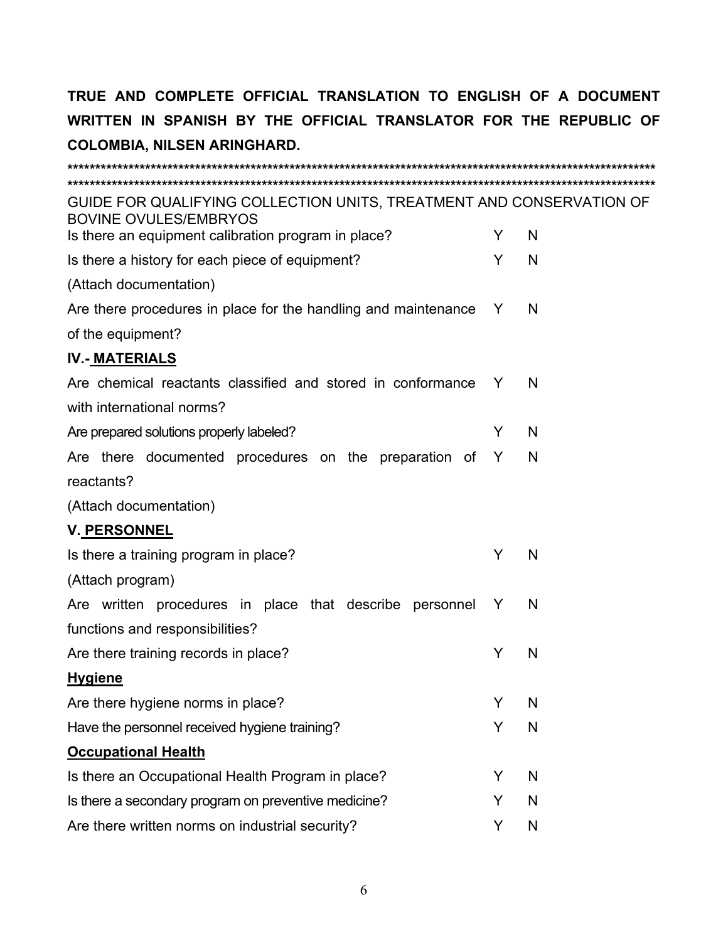| GUIDE FOR QUALIFYING COLLECTION UNITS, TREATMENT AND CONSERVATION OF<br><b>BOVINE OVULES/EMBRYOS</b> |   |   |
|------------------------------------------------------------------------------------------------------|---|---|
| Is there an equipment calibration program in place?                                                  | Y | N |
| Is there a history for each piece of equipment?                                                      | Y | N |
| (Attach documentation)                                                                               |   |   |
| Are there procedures in place for the handling and maintenance                                       | Y | N |
| of the equipment?                                                                                    |   |   |
| <b>IV.- MATERIALS</b>                                                                                |   |   |
| Are chemical reactants classified and stored in conformance Y                                        |   | N |
| with international norms?                                                                            |   |   |
| Are prepared solutions properly labeled?                                                             | Y | N |
| Are there documented procedures on the preparation of Y                                              |   | N |
| reactants?                                                                                           |   |   |
| (Attach documentation)                                                                               |   |   |
| <b>V. PERSONNEL</b>                                                                                  |   |   |
| Is there a training program in place?                                                                | Y | N |
| (Attach program)                                                                                     |   |   |
| Are written procedures in place that describe personnel                                              | Y | N |
| functions and responsibilities?                                                                      |   |   |
| Are there training records in place?                                                                 | Y | N |
| <b>Hygiene</b>                                                                                       |   |   |
| Are there hygiene norms in place?                                                                    | Y | N |
| Have the personnel received hygiene training?                                                        | Y | N |
| <b>Occupational Health</b>                                                                           |   |   |
| Is there an Occupational Health Program in place?                                                    | Y | N |
| Is there a secondary program on preventive medicine?                                                 | Y | N |
| Are there written norms on industrial security?                                                      | Y | N |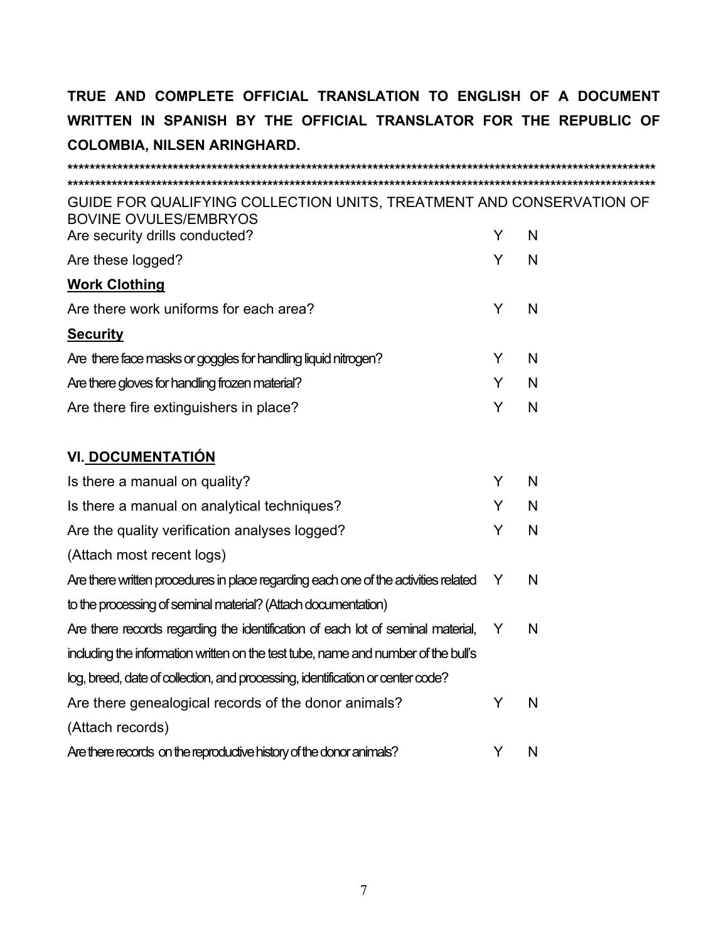| GUIDE FOR QUALIFYING COLLECTION UNITS, TREATMENT AND CONSERVATION OF<br><b>BOVINE OVULES/EMBRYOS</b> |   |   |
|------------------------------------------------------------------------------------------------------|---|---|
| Are security drills conducted?                                                                       | Y | N |
| Are these logged?                                                                                    | Y | N |
| <b>Work Clothing</b>                                                                                 |   |   |
| Are there work uniforms for each area?                                                               | Y | N |
| <b>Security</b>                                                                                      |   |   |
| Are there face masks or goggles for handling liquid nitrogen?                                        | Y | N |
| Are there gloves for handling frozen material?                                                       | Y | N |
| Are there fire extinguishers in place?                                                               | Y | N |
| VI. DOCUMENTATIÓN                                                                                    |   |   |
| Is there a manual on quality?                                                                        | Y | N |
| Is there a manual on analytical techniques?                                                          | Y | N |
| Are the quality verification analyses logged?                                                        | Y | N |
| (Attach most recent logs)                                                                            |   |   |
| Are there written procedures in place regarding each one of the activities related                   | Y | N |
| to the processing of seminal material? (Attach documentation)                                        |   |   |
| Are there records regarding the identification of each lot of seminal material,                      | Y | N |
| including the information written on the test tube, name and number of the bull's                    |   |   |
| log, breed, date of collection, and processing, identification or center code?                       |   |   |
| Are there genealogical records of the donor animals?                                                 | Y | N |
| (Attach records)                                                                                     |   |   |
| Are there records on the reproductive history of the donor animals?                                  | Y | N |